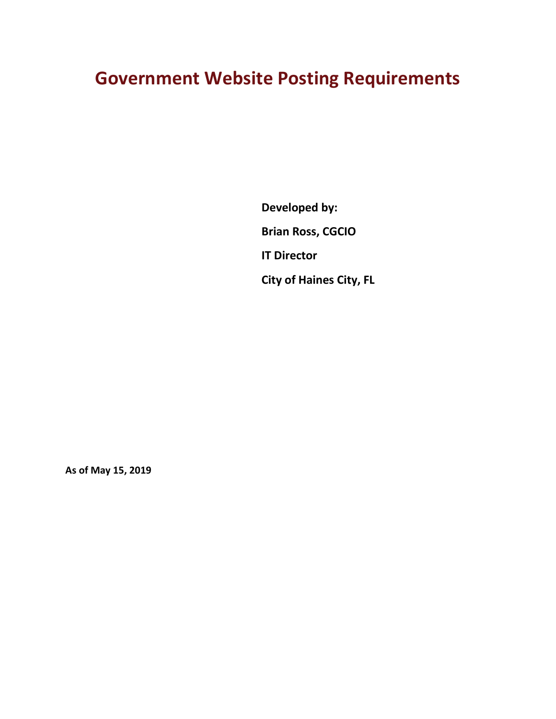# **Government Website Posting Requirements**

**Developed by: Brian Ross, CGCIO IT Director City of Haines City, FL**

**As of May 15, 2019**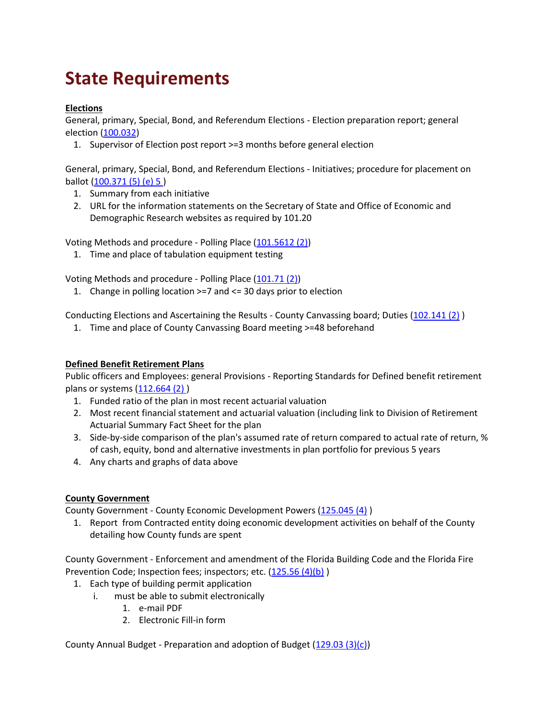# **State Requirements**

# **Elections**

General, primary, Special, Bond, and Referendum Elections - Election preparation report; general election [\(100.032\)](http://www.leg.state.fl.us/statutes/index.cfm?mode=View%20Statutes&SubMenu=1&App_mode=Display_Statute&Search_String=WebSite&URL=0100-0199/0100/Sections/0100.032.html)

1. Supervisor of Election post report >=3 months before general election

General, primary, Special, Bond, and Referendum Elections - Initiatives; procedure for placement on ballot [\(100.371 \(5\) \(e\) 5 \)](http://www.leg.state.fl.us/statutes/index.cfm?mode=View%20Statutes&SubMenu=1&App_mode=Display_Statute&Search_String=WebSite&URL=0100-0199/0100/Sections/0100.371.html)

- 1. Summary from each initiative
- 2. URL for the information statements on the Secretary of State and Office of Economic and Demographic Research websites as required by 101.20

Voting Methods and procedure - Polling Place [\(101.5612 \(2\)\)](http://www.leg.state.fl.us/statutes/index.cfm?mode=View%20Statutes&SubMenu=1&App_mode=Display_Statute&Search_String=WebSite&URL=0100-0199/0101/Sections/0101.5612.html)

1. Time and place of tabulation equipment testing

Voting Methods and procedure - Polling Place [\(101.71 \(2\)\)](http://www.leg.state.fl.us/statutes/index.cfm?mode=View%20Statutes&SubMenu=1&App_mode=Display_Statute&Search_String=WebSite&URL=0100-0199/0101/Sections/0101.71.html)

1. Change in polling location >=7 and <= 30 days prior to election

Conducting Elections and Ascertaining the Results - County Canvassing board; Duties [\(102.141 \(2\)](http://www.leg.state.fl.us/statutes/index.cfm?mode=View%20Statutes&SubMenu=1&App_mode=Display_Statute&Search_String=WebSite&URL=0100-0199/0102/Sections/0102.141.html) )

1. Time and place of County Canvassing Board meeting >=48 beforehand

# **Defined Benefit Retirement Plans**

Public officers and Employees: general Provisions - Reporting Standards for Defined benefit retirement plans or systems [\(112.664 \(2\) \)](http://www.leg.state.fl.us/statutes/index.cfm?mode=View%20Statutes&SubMenu=1&App_mode=Display_Statute&Search_String=WebSite&URL=0100-0199/0112/Sections/0112.664.html)

- 1. Funded ratio of the plan in most recent actuarial valuation
- 2. Most recent financial statement and actuarial valuation (including link to Division of Retirement Actuarial Summary Fact Sheet for the plan
- 3. Side-by-side comparison of the plan's assumed rate of return compared to actual rate of return, % of cash, equity, bond and alternative investments in plan portfolio for previous 5 years
- 4. Any charts and graphs of data above

#### **County Government**

County Government - County Economic Development Powers [\(125.045 \(4\)](http://www.leg.state.fl.us/statutes/index.cfm?App_mode=Display_Statute&Search_String=&URL=0100-0199/0125/Sections/0125.045.html) )

1. Report from Contracted entity doing economic development activities on behalf of the County detailing how County funds are spent

County Government - Enforcement and amendment of the Florida Building Code and the Florida Fire Prevention Code; Inspection fees; inspectors; etc. [\(125.56 \(4\)\(b\)](http://www.leg.state.fl.us/statutes/index.cfm?App_mode=Display_Statute&Search_String=&URL=0100-0199/0125/Sections/0125.56.html))

- 1. Each type of building permit application
	- i. must be able to submit electronically
		- 1. e-mail PDF
		- 2. Electronic Fill-in form

County Annual Budget - Preparation and adoption of Budget [\(129.03 \(3\)\(c\)\)](http://www.leg.state.fl.us/statutes/index.cfm?mode=View%20Statutes&SubMenu=1&App_mode=Display_Statute&Search_String=WebSite&URL=0100-0199/0129/Sections/0129.03.html)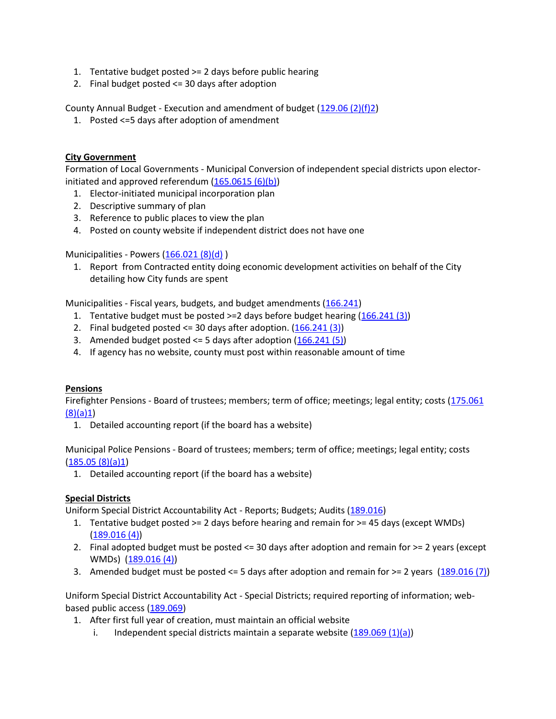- 1. Tentative budget posted >= 2 days before public hearing
- 2. Final budget posted <= 30 days after adoption

County Annual Budget - Execution and amendment of budget [\(129.06 \(2\)\(f\)2\)](http://www.leg.state.fl.us/statutes/index.cfm?mode=View%20Statutes&SubMenu=1&App_mode=Display_Statute&Search_String=WebSite&URL=0100-0199/0129/Sections/0129.06.html)

1. Posted <=5 days after adoption of amendment

# **City Government**

Formation of Local Governments - Municipal Conversion of independent special districts upon electorinitiated and approved referendum  $(165.0615 (6)(b))$ 

- 1. Elector-initiated municipal incorporation plan
- 2. Descriptive summary of plan
- 3. Reference to public places to view the plan
- 4. Posted on county website if independent district does not have one

# Municipalities - Powers [\(166.021 \(8\)\(d\)](http://www.leg.state.fl.us/statutes/index.cfm?App_mode=Display_Statute&Search_String=&URL=0100-0199/0166/Sections/0166.021.html))

1. Report from Contracted entity doing economic development activities on behalf of the City detailing how City funds are spent

Municipalities - Fiscal years, budgets, and budget amendments [\(166.241\)](http://www.leg.state.fl.us/statutes/index.cfm?mode=View%20Statutes&SubMenu=1&App_mode=Display_Statute&Search_String=WebSite&URL=0100-0199/0166/Sections/0166.241.html)

- 1. Tentative budget must be posted >=2 days before budget hearing [\(166.241 \(3\)\)](http://www.leg.state.fl.us/statutes/index.cfm?mode=View%20Statutes&SubMenu=1&App_mode=Display_Statute&Search_String=WebSite&URL=0100-0199/0166/Sections/0166.241.html)
- 2. Final budgeted posted  $\leq$  30 days after adoption.  $(166.241(3))$
- 3. Amended budget posted  $\leq$  5 days after adoption  $(166.241(5))$
- 4. If agency has no website, county must post within reasonable amount of time

#### **Pensions**

Firefighter Pensions - Board of trustees; members; term of office; meetings; legal entity; costs [\(175.061](http://www.leg.state.fl.us/statutes/index.cfm?mode=View%20Statutes&SubMenu=1&App_mode=Display_Statute&Search_String=WebSite&URL=0100-0199/0175/Sections/0175.061.html)  [\(8\)\(a\)1\)](http://www.leg.state.fl.us/statutes/index.cfm?mode=View%20Statutes&SubMenu=1&App_mode=Display_Statute&Search_String=WebSite&URL=0100-0199/0175/Sections/0175.061.html)

1. Detailed accounting report (if the board has a website)

Municipal Police Pensions - Board of trustees; members; term of office; meetings; legal entity; costs  $(185.05(8)(a)1)$ 

1. Detailed accounting report (if the board has a website)

#### **Special Districts**

Uniform Special District Accountability Act - Reports; Budgets; Audits [\(189.016\)](http://www.leg.state.fl.us/statutes/index.cfm?App_mode=Display_Statute&Search_String=WebSite&URL=0100-0199/0189/Sections/0189.016.html)

- 1. Tentative budget posted >= 2 days before hearing and remain for >= 45 days (except WMDs) [\(189.016 \(4\)\)](http://www.leg.state.fl.us/statutes/index.cfm?App_mode=Display_Statute&Search_String=WebSite&URL=0100-0199/0189/Sections/0189.016.html)
- 2. Final adopted budget must be posted <= 30 days after adoption and remain for >= 2 years (except WMDs) [\(189.016 \(4\)\)](http://www.leg.state.fl.us/statutes/index.cfm?App_mode=Display_Statute&Search_String=WebSite&URL=0100-0199/0189/Sections/0189.016.html)
- 3. Amended budget must be posted  $\leq 5$  days after adoption and remain for  $\geq 2$  years [\(189.016 \(7\)\)](http://www.leg.state.fl.us/statutes/index.cfm?App_mode=Display_Statute&Search_String=WebSite&URL=0100-0199/0189/Sections/0189.016.html)

Uniform Special District Accountability Act - Special Districts; required reporting of information; webbased public access [\(189.069\)](http://www.leg.state.fl.us/statutes/index.cfm?mode=View%20Statutes&SubMenu=1&App_mode=Display_Statute&Search_String=WebSite&URL=0100-0199/0189/Sections/0189.069.html)

- 1. After first full year of creation, must maintain an official website
	- i. Independent special districts maintain a separate website  $(189.069 (1)(a))$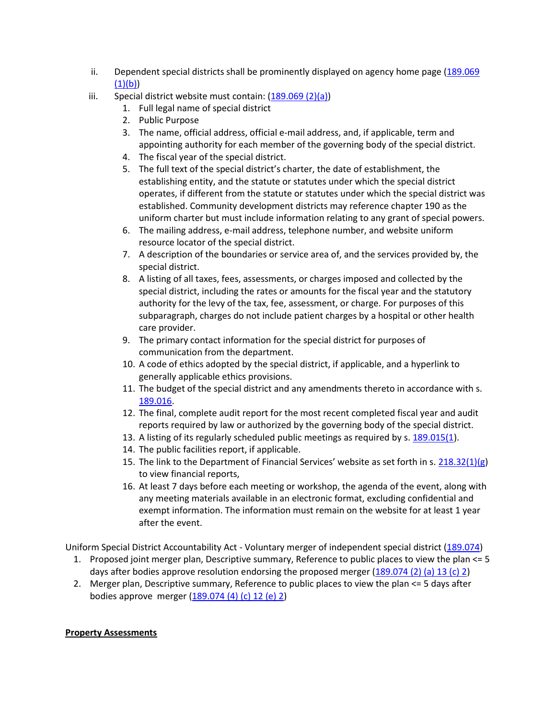- ii. Dependent special districts shall be prominently displayed on agency home page [\(189.069](http://www.leg.state.fl.us/statutes/index.cfm?mode=View%20Statutes&SubMenu=1&App_mode=Display_Statute&Search_String=WebSite&URL=0100-0199/0189/Sections/0189.069.html)   $(1)(b)$
- iii. Special district website must contain:  $(189.069 \, (2)(a))$ 
	- 1. Full legal name of special district
	- 2. Public Purpose
	- 3. The name, official address, official e-mail address, and, if applicable, term and appointing authority for each member of the governing body of the special district.
	- 4. The fiscal year of the special district.
	- 5. The full text of the special district's charter, the date of establishment, the establishing entity, and the statute or statutes under which the special district operates, if different from the statute or statutes under which the special district was established. Community development districts may reference chapter 190 as the uniform charter but must include information relating to any grant of special powers.
	- 6. The mailing address, e-mail address, telephone number, and website uniform resource locator of the special district.
	- 7. A description of the boundaries or service area of, and the services provided by, the special district.
	- 8. A listing of all taxes, fees, assessments, or charges imposed and collected by the special district, including the rates or amounts for the fiscal year and the statutory authority for the levy of the tax, fee, assessment, or charge. For purposes of this subparagraph, charges do not include patient charges by a hospital or other health care provider.
	- 9. The primary contact information for the special district for purposes of communication from the department.
	- 10. A code of ethics adopted by the special district, if applicable, and a hyperlink to generally applicable ethics provisions.
	- 11. The budget of the special district and any amendments thereto in accordance with s. [189.016.](http://www.leg.state.fl.us/statutes/index.cfm?App_mode=Display_Statute&Search_String=WebSite&URL=0100-0199/0189/Sections/0189.016.html)
	- 12. The final, complete audit report for the most recent completed fiscal year and audit reports required by law or authorized by the governing body of the special district.
	- 13. A listing of its regularly scheduled public meetings as required by s[. 189.015\(1\)](http://www.leg.state.fl.us/statutes/index.cfm?App_mode=Display_Statute&Search_String=WebSite&URL=0100-0199/0189/Sections/0189.015.html).
	- 14. The public facilities report, if applicable.
	- 15. The link to the Department of Financial Services' website as set forth in s. [218.32\(1\)\(g\)](http://www.leg.state.fl.us/statutes/index.cfm?App_mode=Display_Statute&Search_String=WebSite&URL=0200-0299/0218/Sections/0218.32.html) to view financial reports,
	- 16. At least 7 days before each meeting or workshop, the agenda of the event, along with any meeting materials available in an electronic format, excluding confidential and exempt information. The information must remain on the website for at least 1 year after the event.

Uniform Special District Accountability Act - Voluntary merger of independent special district [\(189.074\)](http://www.leg.state.fl.us/statutes/index.cfm?mode=View%20Statutes&SubMenu=1&App_mode=Display_Statute&Search_String=WebSite&URL=0100-0199/0189/Sections/0189.074.html)

- 1. Proposed joint merger plan, Descriptive summary, Reference to public places to view the plan <= 5 days after bodies approve resolution endorsing the proposed merger  $(189.074 \, (2)$  (a) 13 (c) 2)
- 2. Merger plan, Descriptive summary, Reference to public places to view the plan <= 5 days after bodies approve merger [\(189.074 \(4\) \(c\) 12 \(e\) 2\)](http://www.leg.state.fl.us/statutes/index.cfm?mode=View%20Statutes&SubMenu=1&App_mode=Display_Statute&Search_String=WebSite&URL=0100-0199/0189/Sections/0189.074.html)

#### **Property Assessments**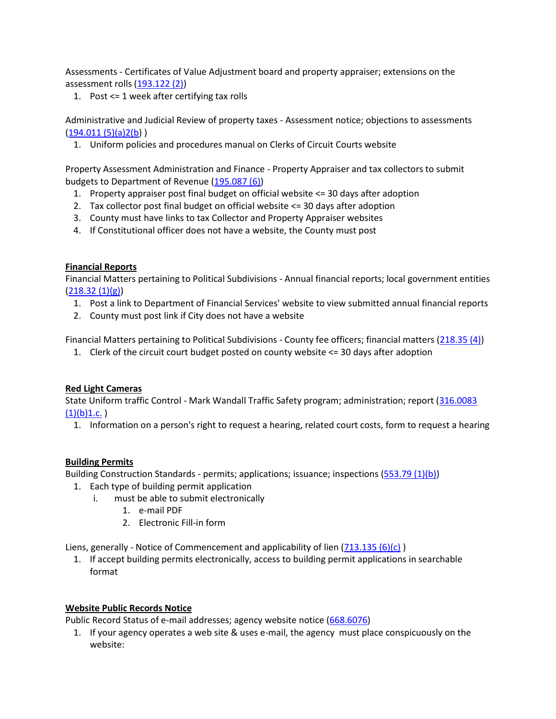Assessments - Certificates of Value Adjustment board and property appraiser; extensions on the assessment rolls [\(193.122 \(2\)\)](http://www.leg.state.fl.us/statutes/index.cfm?mode=View%20Statutes&SubMenu=1&App_mode=Display_Statute&Search_String=WebSite&URL=0100-0199/0193/Sections/0193.122.html)

1. Post <= 1 week after certifying tax rolls

Administrative and Judicial Review of property taxes - Assessment notice; objections to assessments  $(194.011(5)(a)2(b))$ 

1. Uniform policies and procedures manual on Clerks of Circuit Courts website

Property Assessment Administration and Finance - Property Appraiser and tax collectors to submit budgets to Department of Revenue [\(195.087 \(6\)\)](http://www.leg.state.fl.us/statutes/index.cfm?mode=View%20Statutes&SubMenu=1&App_mode=Display_Statute&Search_String=WebSite&URL=0100-0199/0195/Sections/0195.087.html)

- 1. Property appraiser post final budget on official website <= 30 days after adoption
- 2. Tax collector post final budget on official website <= 30 days after adoption
- 3. County must have links to tax Collector and Property Appraiser websites
- 4. If Constitutional officer does not have a website, the County must post

#### **Financial Reports**

Financial Matters pertaining to Political Subdivisions - Annual financial reports; local government entities  $(218.32(1)(g))$ 

- 1. Post a link to Department of Financial Services' website to view submitted annual financial reports
- 2. County must post link if City does not have a website

Financial Matters pertaining to Political Subdivisions - County fee officers; financial matters [\(218.35 \(4\)\)](http://www.leg.state.fl.us/statutes/index.cfm?mode=View%20Statutes&SubMenu=1&App_mode=Display_Statute&Search_String=WebSite&URL=0200-0299/0218/Sections/0218.35.html)

1. Clerk of the circuit court budget posted on county website <= 30 days after adoption

#### **Red Light Cameras**

State Uniform traffic Control - Mark Wandall Traffic Safety program; administration; report (316.0083  $(1)(b)1.c.$ 

1. Information on a person's right to request a hearing, related court costs, form to request a hearing

#### **Building Permits**

Building Construction Standards - permits; applications; issuance; inspections [\(553.79 \(1\)\(b\)\)](http://www.leg.state.fl.us/statutes/index.cfm?mode=View%20Statutes&SubMenu=1&App_mode=Display_Statute&Search_String=WebSite&URL=0500-0599/0553/Sections/0553.79.html)

- 1. Each type of building permit application
	- i. must be able to submit electronically
		- 1. e-mail PDF
		- 2. Electronic Fill-in form

Liens, generally - Notice of Commencement and applicability of lien  $(713.135(6)(c))$ 

1. If accept building permits electronically, access to building permit applications in searchable format

#### **Website Public Records Notice**

Public Record Status of e-mail addresses; agency website notice [\(668.6076\)](http://www.leg.state.fl.us/statutes/index.cfm?mode=View%20Statutes&SubMenu=1&App_mode=Display_Statute&Search_String=WebSite&URL=0600-0699/0668/Sections/0668.6076.html)

1. If your agency operates a web site & uses e-mail, the agency must place conspicuously on the website: